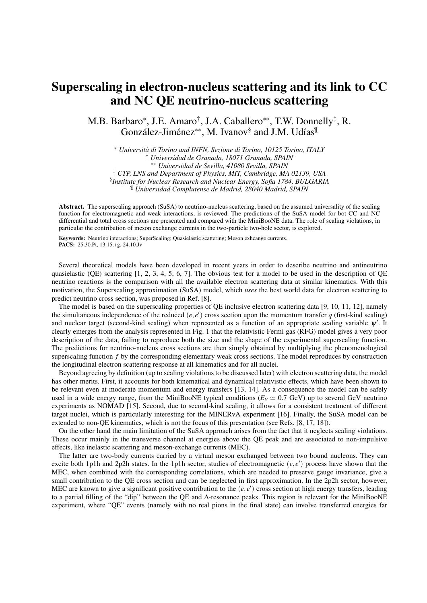## Superscaling in electron-nucleus scattering and its link to CC and NC QE neutrino-nucleus scattering

M.B. Barbaro<sup>∗</sup>, J.E. Amaro<sup>†</sup>, J.A. Caballero<sup>∗∗</sup>, T.W. Donnelly<sup>‡</sup>, R. González-Jiménez<sup>∗∗</sup>, M. Ivanov<sup>§</sup> and J.M. Udías<sup>¶</sup>

<sup>∗</sup> *Università di Torino and INFN, Sezione di Torino, 10125 Torino, ITALY* † *Universidad de Granada, 18071 Granada, SPAIN* ∗∗ *Universidad de Sevilla, 41080 Sevilla, SPAIN* ‡ *CTP, LNS and Department of Physics, MIT, Cambridge, MA 02139, USA* § *Institute for Nuclear Research and Nuclear Energy, Sofia 1784, BULGARIA* ¶ *Universidad Complutense de Madrid, 28040 Madrid, SPAIN*

Abstract. The superscaling approach (SuSA) to neutrino-nucleus scattering, based on the assumed universality of the scaling function for electromagnetic and weak interactions, is reviewed. The predictions of the SuSA model for bot CC and NC differential and total cross sections are presented and compared with the MiniBooNE data. The role of scaling violations, in particular the contribution of meson exchange currents in the two-particle two-hole sector, is explored.

Keywords: Neutrino interactions; SuperScaling; Quasielastic scattering; Meson exhcange currents. PACS: 25.30.Pt, 13.15.+g, 24.10.Jv

Several theoretical models have been developed in recent years in order to describe neutrino and antineutrino quasielastic (QE) scattering  $[1, 2, 3, 4, 5, 6, 7]$ . The obvious test for a model to be used in the description of QE neutrino reactions is the comparison with all the available electron scattering data at similar kinematics. With this motivation, the Superscaling approximation (SuSA) model, which *uses* the best world data for electron scattering to predict neutrino cross section, was proposed in Ref. [8].

The model is based on the superscaling properties of QE inclusive electron scattering data [9, 10, 11, 12], namely the simultaneous independence of the reduced  $(e, e')$  cross section upon the momentum transfer  $q$  (first-kind scaling) and nuclear target (second-kind scaling) when represented as a function of an appropriate scaling variable  $\psi'$ . It clearly emerges from the analysis represented in Fig. 1 that the relativistic Fermi gas (RFG) model gives a very poor description of the data, failing to reproduce both the size and the shape of the experimental superscaling function. The predictions for neutrino-nucleus cross sections are then simply obtained by multiplying the phenomenological superscaling function *f* by the corresponding elementary weak cross sections. The model reproduces by construction the longitudinal electron scattering response at all kinematics and for all nuclei.

Beyond agreeing by definition (up to scaling violations to be discussed later) with electron scattering data, the model has other merits. First, it accounts for both kinematical and dynamical relativistic effects, which have been shown to be relevant even at moderate momentum and energy transfers [13, 14]. As a consequence the model can be safely used in a wide energy range, from the MiniBooNE typical conditions ( $E<sub>V</sub> \simeq 0.7$  GeV) up to several GeV neutrino experiments as NOMAD [15]. Second, due to second-kind scaling, it allows for a consistent treatment of different target nuclei, which is particularly interesting for the MINERvA experiment [16]. Finally, the SuSA model can be extended to non-QE kinematics, which is not the focus of this presentation (see Refs. [8, 17, 18]).

On the other hand the main limitation of the SuSA approach arises from the fact that it neglects scaling violations. These occur mainly in the transverse channel at energies above the QE peak and are associated to non-impulsive effects, like inelastic scattering and meson-exchange currents (MEC).

The latter are two-body currents carried by a virtual meson exchanged between two bound nucleons. They can excite both 1p1h and 2p2h states. In the 1p1h sector, studies of electromagnetic  $(e, e')$  process have shown that the MEC, when combined with the corresponding correlations, which are needed to preserve gauge invariance, give a small contribution to the QE cross section and can be neglected in first approximation. In the 2p2h sector, however, MEC are known to give a significant positive contribution to the  $(e, e')$  cross section at high energy transfers, leading to a partial filling of the "dip" between the QE and ∆-resonance peaks. This region is relevant for the MiniBooNE experiment, where "QE" events (namely with no real pions in the final state) can involve transferred energies far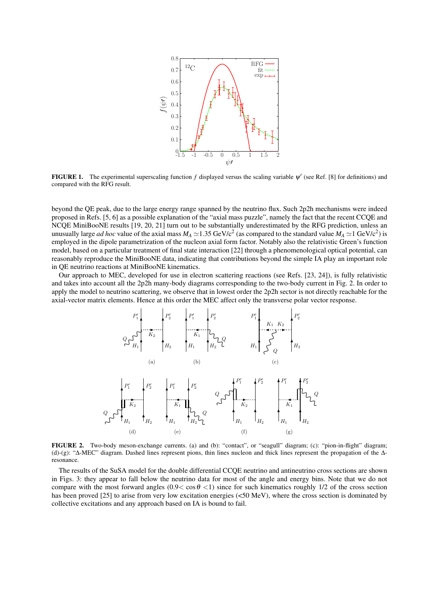

**FIGURE 1.** The experimental superscaling function  $f$  displayed versus the scaling variable  $\psi'$  (see Ref. [8] for definitions) and compared with the RFG result.

beyond the QE peak, due to the large energy range spanned by the neutrino flux. Such 2p2h mechanisms were indeed proposed in Refs. [5, 6] as a possible explanation of the "axial mass puzzle", namely the fact that the recent CCQE and NCQE MiniBooNE results [19, 20, 21] turn out to be substantially underestimated by the RFG prediction, unless an unusually large *ad hoc* value of the axial mass  $M_A \simeq 1.35$  GeV/c<sup>2</sup> (as compared to the standard value  $M_A \simeq 1$  GeV/c<sup>2</sup>) is employed in the dipole parametrization of the nucleon axial form factor. Notably also the relativistic Green's function model, based on a particular treatment of final state interaction [22] through a phenomenological optical potential, can reasonably reproduce the MiniBooNE data, indicating that contributions beyond the simple IA play an important role in QE neutrino reactions at MiniBooNE kinematics.

Our approach to MEC, developed for use in electron scattering reactions (see Refs. [23, 24]), is fully relativistic and takes into account all the 2p2h many-body diagrams corresponding to the two-body current in Fig. 2. In order to apply the model to neutrino scattering, we observe that in lowest order the 2p2h sector is not directly reachable for the axial-vector matrix elements. Hence at this order the MEC affect only the transverse polar vector response.



FIGURE 2. Two-body meson-exchange currents. (a) and (b): "contact", or "seagull" diagram; (c): "pion-in-flight" diagram; (d)-(g): "∆-MEC" diagram. Dashed lines represent pions, thin lines nucleon and thick lines represent the propagation of the ∆ resonance.

The results of the SuSA model for the double differential CCQE neutrino and antineutrino cross sections are shown in Figs. 3: they appear to fall below the neutrino data for most of the angle and energy bins. Note that we do not compare with the most forward angles (0.9< cos  $\theta$  <1) since for such kinematics roughly 1/2 of the cross section has been proved [25] to arise from very low excitation energies (<50 MeV), where the cross section is dominated by collective excitations and any approach based on IA is bound to fail.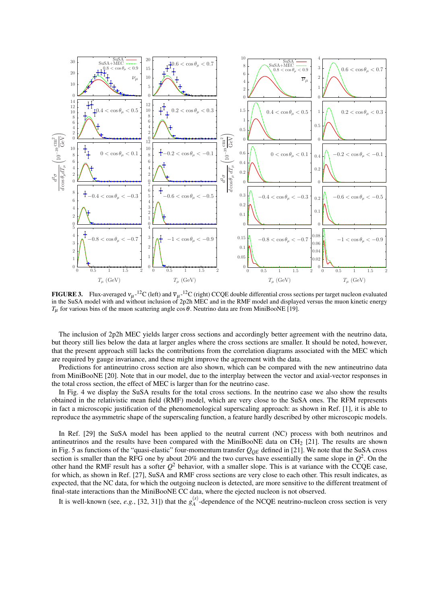

**FIGURE 3.** Flux-averaged  $v_{\mu}$ -<sup>12</sup>C (left) and  $\overline{v}_{\mu}$ -<sup>12</sup>C (right) CCQE double differential cross sections per target nucleon evaluated in the SuSA model with and without inclusion of 2p2h MEC and in the RMF model and displayed versus the muon kinetic energy *T*<sub>μ</sub> for various bins of the muon scattering angle cos θ. Neutrino data are from MiniBooNE [19].

The inclusion of 2p2h MEC yields larger cross sections and accordingly better agreement with the neutrino data, but theory still lies below the data at larger angles where the cross sections are smaller. It should be noted, however, that the present approach still lacks the contributions from the correlation diagrams associated with the MEC which are required by gauge invariance, and these might improve the agreement with the data.

Predictions for antineutrino cross section are also shown, which can be compared with the new antineutrino data from MiniBooNE [20]. Note that in our model, due to the interplay between the vector and axial-vector responses in the total cross section, the effect of MEC is larger than for the neutrino case.

In Fig. 4 we display the SuSA results for the total cross sections. In the neutrino case we also show the results obtained in the relativistic mean field (RMF) model, which are very close to the SuSA ones. The RFM represents in fact a microscopic justification of the phenomenological superscaling approach: as shown in Ref. [1], it is able to reproduce the asymmetric shape of the superscaling function, a feature hardly described by other microscopic models.

In Ref. [29] the SuSA model has been applied to the neutral current (NC) process with both neutrinos and antineutrinos and the results have been compared with the MiniBooNE data on  $CH<sub>2</sub>$  [21]. The results are shown in Fig. 5 as functions of the "quasi-elastic" four-momentum transfer *QQE* defined in [21]. We note that the SuSA cross section is smaller than the RFG one by about 20% and the two curves have essentially the same slope in  $Q^2$ . On the other hand the RMF result has a softer  $Q^2$  behavior, with a smaller slope. This is at variance with the CCQE case, for which, as shown in Ref. [27], SuSA and RMF cross sections are very close to each other. This result indicates, as expected, that the NC data, for which the outgoing nucleon is detected, are more sensitive to the different treatment of final-state interactions than the MiniBooNE CC data, where the ejected nucleon is not observed.

It is well-known (see, *e.g.*, [32, 31]) that the  $g_A^{(s)}$  $A_A^{(3)}$ -dependence of the NCQE neutrino-nucleon cross section is very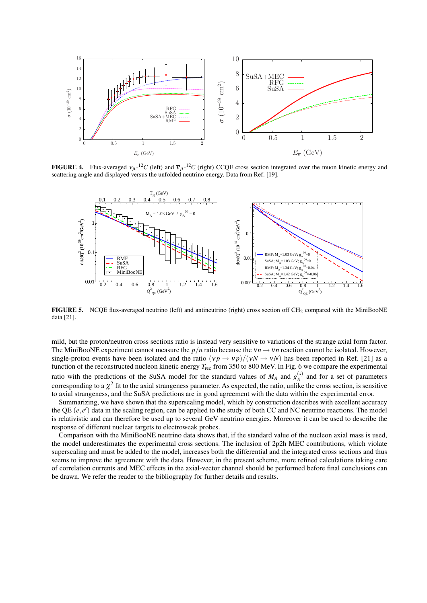

**FIGURE 4.** Flux-averaged  $v_{\mu}$ -<sup>12</sup>*C* (left) and  $\overline{v}_{\mu}$ -<sup>12</sup>*C* (right) CCQE cross section integrated over the muon kinetic energy and scattering angle and displayed versus the unfolded neutrino energy. Data from Ref. [19].



FIGURE 5. NCQE flux-averaged neutrino (left) and antineutrino (right) cross section off CH<sub>2</sub> compared with the MiniBooNE data [21].

mild, but the proton/neutron cross sections ratio is instead very sensitive to variations of the strange axial form factor. The MiniBooNE experiment cannot measure the  $p/n$  ratio because the  $vn \to vn$  reaction cannot be isolated. However, single-proton events have been isolated and the ratio  $(v p \rightarrow v p)/(v N \rightarrow v N)$  has been reported in Ref. [21] as a function of the reconstructed nucleon kinetic energy *T*rec from 350 to 800 MeV. In Fig. 6 we compare the experimental ratio with the predictions of the SuSA model for the standard values of  $M_A$  and  $g_A^{(s)}$  $A^{(s)}_A$  and for a set of parameters corresponding to a  $\chi^2$  fit to the axial strangeness parameter. As expected, the ratio, unlike the cross section, is sensitive to axial strangeness, and the SuSA predictions are in good agreement with the data within the experimental error.

Summarizing, we have shown that the superscaling model, which by construction describes with excellent accuracy the QE  $(e, e')$  data in the scaling region, can be applied to the study of both CC and NC neutrino reactions. The model is relativistic and can therefore be used up to several GeV neutrino energies. Moreover it can be used to describe the response of different nuclear targets to electroweak probes.

Comparison with the MiniBooNE neutrino data shows that, if the standard value of the nucleon axial mass is used, the model underestimates the experimental cross sections. The inclusion of 2p2h MEC contributions, which violate superscaling and must be added to the model, increases both the differential and the integrated cross sections and thus seems to improve the agreement with the data. However, in the present scheme, more refined calculations taking care of correlation currents and MEC effects in the axial-vector channel should be performed before final conclusions can be drawn. We refer the reader to the bibliography for further details and results.